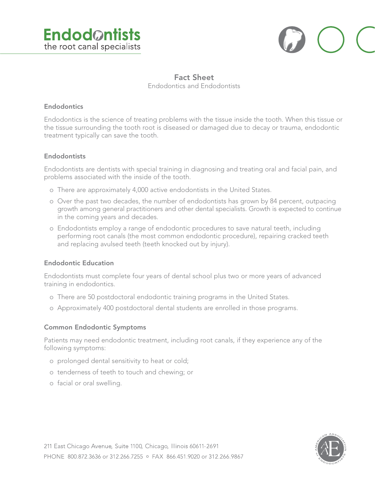



# **Fact Sheet** Endodontics and Endodontists

#### **Endodontics**

Endodontics is the science of treating problems with the tissue inside the tooth. When this tissue or the tissue surrounding the tooth root is diseased or damaged due to decay or trauma, endodontic treatment typically can save the tooth.

#### **Endodontists**

Endodontists are dentists with special training in diagnosing and treating oral and facial pain, and problems associated with the inside of the tooth.

- o There are approximately 4,000 active endodontists in the United States.
- o Over the past two decades, the number of endodontists has grown by 84 percent, outpacing growth among general practitioners and other dental specialists. Growth is expected to continue in the coming years and decades.
- o Endodontists employ a range of endodontic procedures to save natural teeth, including performing root canals (the most common endodontic procedure), repairing cracked teeth and replacing avulsed teeth (teeth knocked out by injury).

## **Endodontic Education**

Endodontists must complete four years of dental school plus two or more years of advanced training in endodontics.

- o There are 50 postdoctoral endodontic training programs in the United States.
- o Approximately 400 postdoctoral dental students are enrolled in those programs.

## **Common Endodontic Symptoms**

Patients may need endodontic treatment, including root canals, if they experience any of the following symptoms:

- o prolonged dental sensitivity to heat or cold;
- o tenderness of teeth to touch and chewing; or
- o facial or oral swelling.

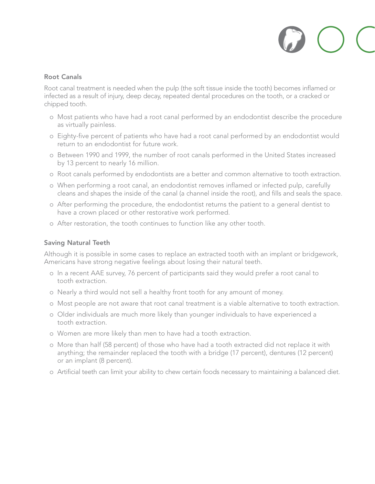## **Root Canals**

Root canal treatment is needed when the pulp (the soft tissue inside the tooth) becomes inflamed or infected as a result of injury, deep decay, repeated dental procedures on the tooth, or a cracked or chipped tooth.

- o Most patients who have had a root canal performed by an endodontist describe the procedure as virtually painless.
- o Eighty-five percent of patients who have had a root canal performed by an endodontist would return to an endodontist for future work.
- o Between 1990 and 1999, the number of root canals performed in the United States increased by 13 percent to nearly 16 million.
- o Root canals performed by endodontists are a better and common alternative to tooth extraction.
- o When performing a root canal, an endodontist removes inflamed or infected pulp, carefully cleans and shapes the inside of the canal (a channel inside the root), and fills and seals the space.
- o After performing the procedure, the endodontist returns the patient to a general dentist to have a crown placed or other restorative work performed.
- o After restoration, the tooth continues to function like any other tooth.

## **Saving Natural Teeth**

Although it is possible in some cases to replace an extracted tooth with an implant or bridgework, Americans have strong negative feelings about losing their natural teeth.

- o In a recent AAE survey, 76 percent of participants said they would prefer a root canal to tooth extraction.
- o Nearly a third would not sell a healthy front tooth for any amount of money.
- o Most people are not aware that root canal treatment is a viable alternative to tooth extraction.
- o Older individuals are much more likely than younger individuals to have experienced a tooth extraction.
- o Women are more likely than men to have had a tooth extraction.
- o More than half (58 percent) of those who have had a tooth extracted did not replace it with anything; the remainder replaced the tooth with a bridge (17 percent), dentures (12 percent) or an implant (8 percent).
- o Artificial teeth can limit your ability to chew certain foods necessary to maintaining a balanced diet.